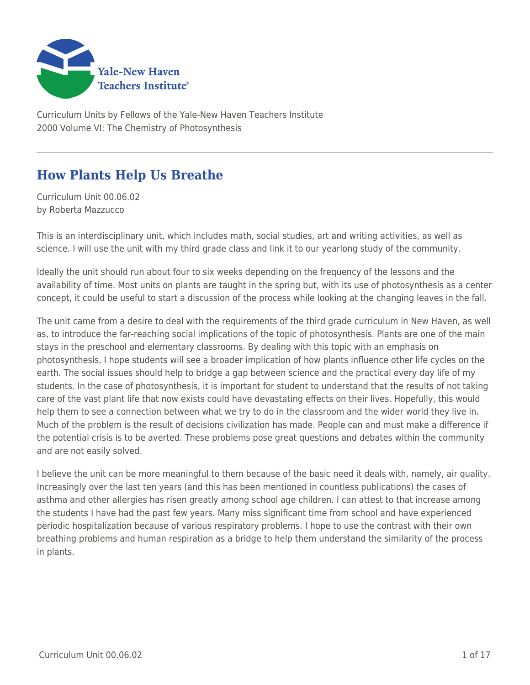

Curriculum Units by Fellows of the Yale-New Haven Teachers Institute 2000 Volume VI: The Chemistry of Photosynthesis

# **How Plants Help Us Breathe**

Curriculum Unit 00.06.02 by Roberta Mazzucco

This is an interdisciplinary unit, which includes math, social studies, art and writing activities, as well as science. I will use the unit with my third grade class and link it to our yearlong study of the community.

Ideally the unit should run about four to six weeks depending on the frequency of the lessons and the availability of time. Most units on plants are taught in the spring but, with its use of photosynthesis as a center concept, it could be useful to start a discussion of the process while looking at the changing leaves in the fall.

The unit came from a desire to deal with the requirements of the third grade curriculum in New Haven, as well as, to introduce the far-reaching social implications of the topic of photosynthesis. Plants are one of the main stays in the preschool and elementary classrooms. By dealing with this topic with an emphasis on photosynthesis, I hope students will see a broader implication of how plants influence other life cycles on the earth. The social issues should help to bridge a gap between science and the practical every day life of my students. In the case of photosynthesis, it is important for student to understand that the results of not taking care of the vast plant life that now exists could have devastating effects on their lives. Hopefully, this would help them to see a connection between what we try to do in the classroom and the wider world they live in. Much of the problem is the result of decisions civilization has made. People can and must make a difference if the potential crisis is to be averted. These problems pose great questions and debates within the community and are not easily solved.

I believe the unit can be more meaningful to them because of the basic need it deals with, namely, air quality. Increasingly over the last ten years (and this has been mentioned in countless publications) the cases of asthma and other allergies has risen greatly among school age children. I can attest to that increase among the students I have had the past few years. Many miss significant time from school and have experienced periodic hospitalization because of various respiratory problems. I hope to use the contrast with their own breathing problems and human respiration as a bridge to help them understand the similarity of the process in plants.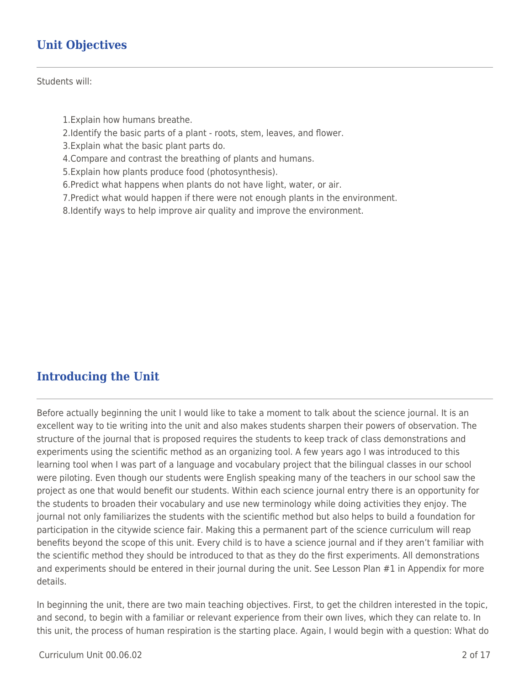# **Unit Objectives**

Students will:

- 1.Explain how humans breathe.
- 2.Identify the basic parts of a plant roots, stem, leaves, and flower.
- 3.Explain what the basic plant parts do.
- 4.Compare and contrast the breathing of plants and humans.
- 5.Explain how plants produce food (photosynthesis).
- 6.Predict what happens when plants do not have light, water, or air.
- 7.Predict what would happen if there were not enough plants in the environment.
- 8.Identify ways to help improve air quality and improve the environment.

## **Introducing the Unit**

Before actually beginning the unit I would like to take a moment to talk about the science journal. It is an excellent way to tie writing into the unit and also makes students sharpen their powers of observation. The structure of the journal that is proposed requires the students to keep track of class demonstrations and experiments using the scientific method as an organizing tool. A few years ago I was introduced to this learning tool when I was part of a language and vocabulary project that the bilingual classes in our school were piloting. Even though our students were English speaking many of the teachers in our school saw the project as one that would benefit our students. Within each science journal entry there is an opportunity for the students to broaden their vocabulary and use new terminology while doing activities they enjoy. The journal not only familiarizes the students with the scientific method but also helps to build a foundation for participation in the citywide science fair. Making this a permanent part of the science curriculum will reap benefits beyond the scope of this unit. Every child is to have a science journal and if they aren't familiar with the scientific method they should be introduced to that as they do the first experiments. All demonstrations and experiments should be entered in their journal during the unit. See Lesson Plan #1 in Appendix for more details.

In beginning the unit, there are two main teaching objectives. First, to get the children interested in the topic, and second, to begin with a familiar or relevant experience from their own lives, which they can relate to. In this unit, the process of human respiration is the starting place. Again, I would begin with a question: What do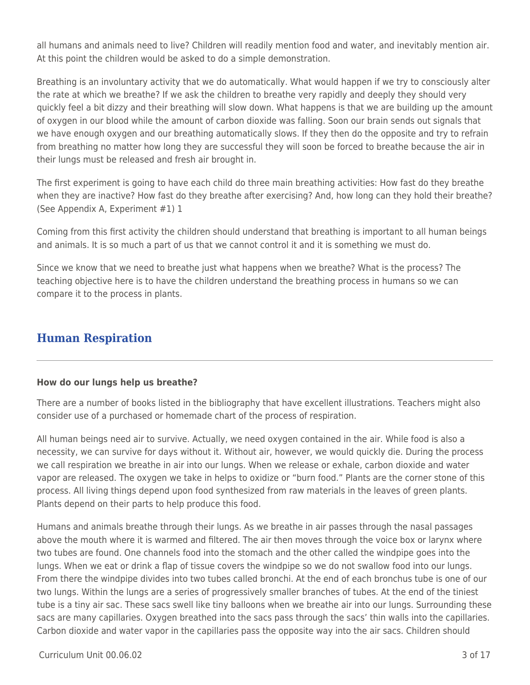all humans and animals need to live? Children will readily mention food and water, and inevitably mention air. At this point the children would be asked to do a simple demonstration.

Breathing is an involuntary activity that we do automatically. What would happen if we try to consciously alter the rate at which we breathe? If we ask the children to breathe very rapidly and deeply they should very quickly feel a bit dizzy and their breathing will slow down. What happens is that we are building up the amount of oxygen in our blood while the amount of carbon dioxide was falling. Soon our brain sends out signals that we have enough oxygen and our breathing automatically slows. If they then do the opposite and try to refrain from breathing no matter how long they are successful they will soon be forced to breathe because the air in their lungs must be released and fresh air brought in.

The first experiment is going to have each child do three main breathing activities: How fast do they breathe when they are inactive? How fast do they breathe after exercising? And, how long can they hold their breathe? (See Appendix A, Experiment #1) 1

Coming from this first activity the children should understand that breathing is important to all human beings and animals. It is so much a part of us that we cannot control it and it is something we must do.

Since we know that we need to breathe just what happens when we breathe? What is the process? The teaching objective here is to have the children understand the breathing process in humans so we can compare it to the process in plants.

### **Human Respiration**

#### **How do our lungs help us breathe?**

There are a number of books listed in the bibliography that have excellent illustrations. Teachers might also consider use of a purchased or homemade chart of the process of respiration.

All human beings need air to survive. Actually, we need oxygen contained in the air. While food is also a necessity, we can survive for days without it. Without air, however, we would quickly die. During the process we call respiration we breathe in air into our lungs. When we release or exhale, carbon dioxide and water vapor are released. The oxygen we take in helps to oxidize or "burn food." Plants are the corner stone of this process. All living things depend upon food synthesized from raw materials in the leaves of green plants. Plants depend on their parts to help produce this food.

Humans and animals breathe through their lungs. As we breathe in air passes through the nasal passages above the mouth where it is warmed and filtered. The air then moves through the voice box or larynx where two tubes are found. One channels food into the stomach and the other called the windpipe goes into the lungs. When we eat or drink a flap of tissue covers the windpipe so we do not swallow food into our lungs. From there the windpipe divides into two tubes called bronchi. At the end of each bronchus tube is one of our two lungs. Within the lungs are a series of progressively smaller branches of tubes. At the end of the tiniest tube is a tiny air sac. These sacs swell like tiny balloons when we breathe air into our lungs. Surrounding these sacs are many capillaries. Oxygen breathed into the sacs pass through the sacs' thin walls into the capillaries. Carbon dioxide and water vapor in the capillaries pass the opposite way into the air sacs. Children should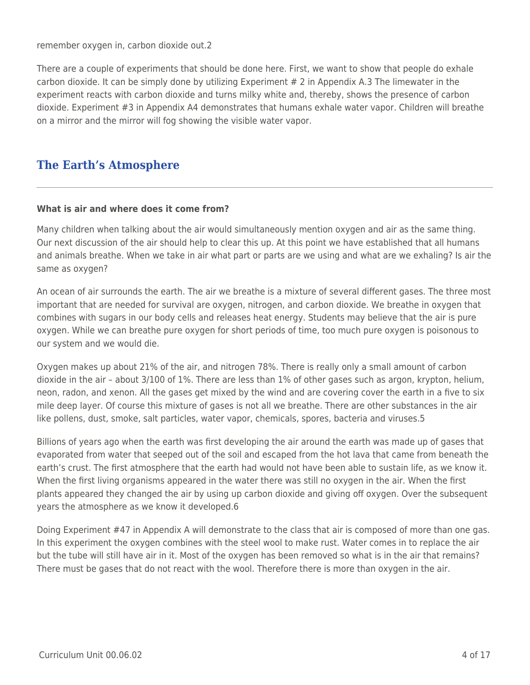remember oxygen in, carbon dioxide out.2

There are a couple of experiments that should be done here. First, we want to show that people do exhale carbon dioxide. It can be simply done by utilizing Experiment # 2 in Appendix A.3 The limewater in the experiment reacts with carbon dioxide and turns milky white and, thereby, shows the presence of carbon dioxide. Experiment #3 in Appendix A4 demonstrates that humans exhale water vapor. Children will breathe on a mirror and the mirror will fog showing the visible water vapor.

## **The Earth's Atmosphere**

#### **What is air and where does it come from?**

Many children when talking about the air would simultaneously mention oxygen and air as the same thing. Our next discussion of the air should help to clear this up. At this point we have established that all humans and animals breathe. When we take in air what part or parts are we using and what are we exhaling? Is air the same as oxygen?

An ocean of air surrounds the earth. The air we breathe is a mixture of several different gases. The three most important that are needed for survival are oxygen, nitrogen, and carbon dioxide. We breathe in oxygen that combines with sugars in our body cells and releases heat energy. Students may believe that the air is pure oxygen. While we can breathe pure oxygen for short periods of time, too much pure oxygen is poisonous to our system and we would die.

Oxygen makes up about 21% of the air, and nitrogen 78%. There is really only a small amount of carbon dioxide in the air – about 3/100 of 1%. There are less than 1% of other gases such as argon, krypton, helium, neon, radon, and xenon. All the gases get mixed by the wind and are covering cover the earth in a five to six mile deep layer. Of course this mixture of gases is not all we breathe. There are other substances in the air like pollens, dust, smoke, salt particles, water vapor, chemicals, spores, bacteria and viruses.5

Billions of years ago when the earth was first developing the air around the earth was made up of gases that evaporated from water that seeped out of the soil and escaped from the hot lava that came from beneath the earth's crust. The first atmosphere that the earth had would not have been able to sustain life, as we know it. When the first living organisms appeared in the water there was still no oxygen in the air. When the first plants appeared they changed the air by using up carbon dioxide and giving off oxygen. Over the subsequent years the atmosphere as we know it developed.6

Doing Experiment #47 in Appendix A will demonstrate to the class that air is composed of more than one gas. In this experiment the oxygen combines with the steel wool to make rust. Water comes in to replace the air but the tube will still have air in it. Most of the oxygen has been removed so what is in the air that remains? There must be gases that do not react with the wool. Therefore there is more than oxygen in the air.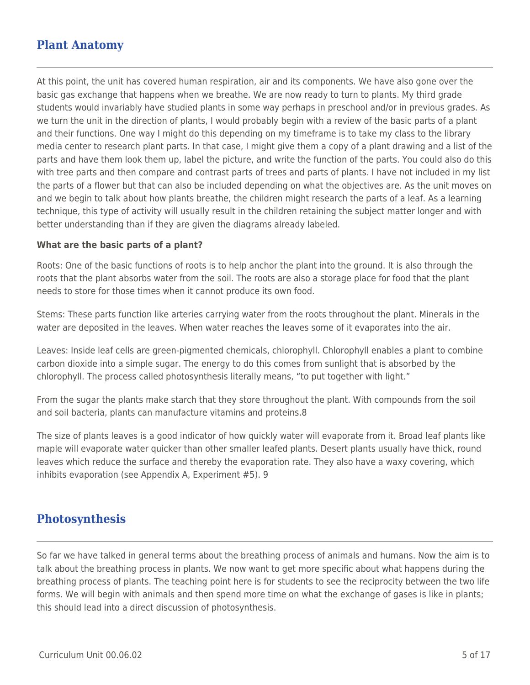### **Plant Anatomy**

At this point, the unit has covered human respiration, air and its components. We have also gone over the basic gas exchange that happens when we breathe. We are now ready to turn to plants. My third grade students would invariably have studied plants in some way perhaps in preschool and/or in previous grades. As we turn the unit in the direction of plants, I would probably begin with a review of the basic parts of a plant and their functions. One way I might do this depending on my timeframe is to take my class to the library media center to research plant parts. In that case, I might give them a copy of a plant drawing and a list of the parts and have them look them up, label the picture, and write the function of the parts. You could also do this with tree parts and then compare and contrast parts of trees and parts of plants. I have not included in my list the parts of a flower but that can also be included depending on what the objectives are. As the unit moves on and we begin to talk about how plants breathe, the children might research the parts of a leaf. As a learning technique, this type of activity will usually result in the children retaining the subject matter longer and with better understanding than if they are given the diagrams already labeled.

#### **What are the basic parts of a plant?**

Roots: One of the basic functions of roots is to help anchor the plant into the ground. It is also through the roots that the plant absorbs water from the soil. The roots are also a storage place for food that the plant needs to store for those times when it cannot produce its own food.

Stems: These parts function like arteries carrying water from the roots throughout the plant. Minerals in the water are deposited in the leaves. When water reaches the leaves some of it evaporates into the air.

Leaves: Inside leaf cells are green-pigmented chemicals, chlorophyll. Chlorophyll enables a plant to combine carbon dioxide into a simple sugar. The energy to do this comes from sunlight that is absorbed by the chlorophyll. The process called photosynthesis literally means, "to put together with light."

From the sugar the plants make starch that they store throughout the plant. With compounds from the soil and soil bacteria, plants can manufacture vitamins and proteins.8

The size of plants leaves is a good indicator of how quickly water will evaporate from it. Broad leaf plants like maple will evaporate water quicker than other smaller leafed plants. Desert plants usually have thick, round leaves which reduce the surface and thereby the evaporation rate. They also have a waxy covering, which inhibits evaporation (see Appendix A, Experiment #5). 9

### **Photosynthesis**

So far we have talked in general terms about the breathing process of animals and humans. Now the aim is to talk about the breathing process in plants. We now want to get more specific about what happens during the breathing process of plants. The teaching point here is for students to see the reciprocity between the two life forms. We will begin with animals and then spend more time on what the exchange of gases is like in plants; this should lead into a direct discussion of photosynthesis.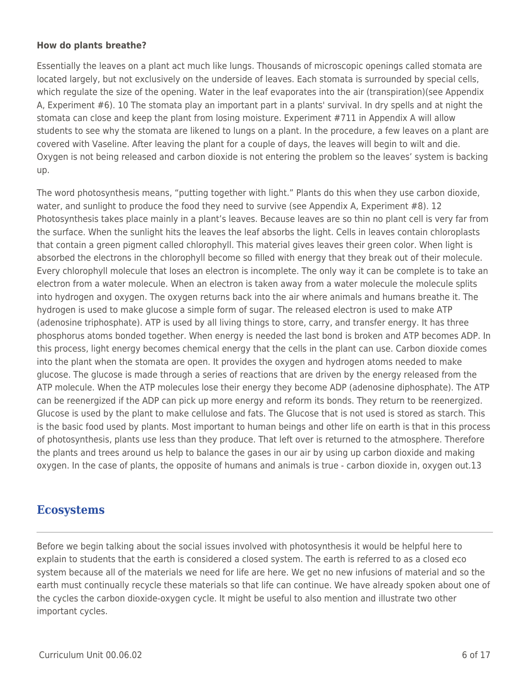#### **How do plants breathe?**

Essentially the leaves on a plant act much like lungs. Thousands of microscopic openings called stomata are located largely, but not exclusively on the underside of leaves. Each stomata is surrounded by special cells, which regulate the size of the opening. Water in the leaf evaporates into the air (transpiration)(see Appendix A, Experiment #6). 10 The stomata play an important part in a plants' survival. In dry spells and at night the stomata can close and keep the plant from losing moisture. Experiment #711 in Appendix A will allow students to see why the stomata are likened to lungs on a plant. In the procedure, a few leaves on a plant are covered with Vaseline. After leaving the plant for a couple of days, the leaves will begin to wilt and die. Oxygen is not being released and carbon dioxide is not entering the problem so the leaves' system is backing up.

The word photosynthesis means, "putting together with light." Plants do this when they use carbon dioxide, water, and sunlight to produce the food they need to survive (see Appendix A, Experiment #8). 12 Photosynthesis takes place mainly in a plant's leaves. Because leaves are so thin no plant cell is very far from the surface. When the sunlight hits the leaves the leaf absorbs the light. Cells in leaves contain chloroplasts that contain a green pigment called chlorophyll. This material gives leaves their green color. When light is absorbed the electrons in the chlorophyll become so filled with energy that they break out of their molecule. Every chlorophyll molecule that loses an electron is incomplete. The only way it can be complete is to take an electron from a water molecule. When an electron is taken away from a water molecule the molecule splits into hydrogen and oxygen. The oxygen returns back into the air where animals and humans breathe it. The hydrogen is used to make glucose a simple form of sugar. The released electron is used to make ATP (adenosine triphosphate). ATP is used by all living things to store, carry, and transfer energy. It has three phosphorus atoms bonded together. When energy is needed the last bond is broken and ATP becomes ADP. In this process, light energy becomes chemical energy that the cells in the plant can use. Carbon dioxide comes into the plant when the stomata are open. It provides the oxygen and hydrogen atoms needed to make glucose. The glucose is made through a series of reactions that are driven by the energy released from the ATP molecule. When the ATP molecules lose their energy they become ADP (adenosine diphosphate). The ATP can be reenergized if the ADP can pick up more energy and reform its bonds. They return to be reenergized. Glucose is used by the plant to make cellulose and fats. The Glucose that is not used is stored as starch. This is the basic food used by plants. Most important to human beings and other life on earth is that in this process of photosynthesis, plants use less than they produce. That left over is returned to the atmosphere. Therefore the plants and trees around us help to balance the gases in our air by using up carbon dioxide and making oxygen. In the case of plants, the opposite of humans and animals is true - carbon dioxide in, oxygen out.13

### **Ecosystems**

Before we begin talking about the social issues involved with photosynthesis it would be helpful here to explain to students that the earth is considered a closed system. The earth is referred to as a closed eco system because all of the materials we need for life are here. We get no new infusions of material and so the earth must continually recycle these materials so that life can continue. We have already spoken about one of the cycles the carbon dioxide-oxygen cycle. It might be useful to also mention and illustrate two other important cycles.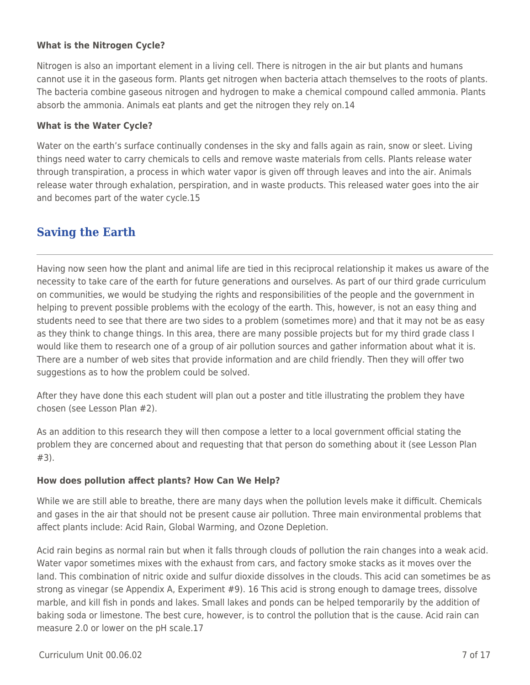### **What is the Nitrogen Cycle?**

Nitrogen is also an important element in a living cell. There is nitrogen in the air but plants and humans cannot use it in the gaseous form. Plants get nitrogen when bacteria attach themselves to the roots of plants. The bacteria combine gaseous nitrogen and hydrogen to make a chemical compound called ammonia. Plants absorb the ammonia. Animals eat plants and get the nitrogen they rely on.14

#### **What is the Water Cycle?**

Water on the earth's surface continually condenses in the sky and falls again as rain, snow or sleet. Living things need water to carry chemicals to cells and remove waste materials from cells. Plants release water through transpiration, a process in which water vapor is given off through leaves and into the air. Animals release water through exhalation, perspiration, and in waste products. This released water goes into the air and becomes part of the water cycle.15

### **Saving the Earth**

Having now seen how the plant and animal life are tied in this reciprocal relationship it makes us aware of the necessity to take care of the earth for future generations and ourselves. As part of our third grade curriculum on communities, we would be studying the rights and responsibilities of the people and the government in helping to prevent possible problems with the ecology of the earth. This, however, is not an easy thing and students need to see that there are two sides to a problem (sometimes more) and that it may not be as easy as they think to change things. In this area, there are many possible projects but for my third grade class I would like them to research one of a group of air pollution sources and gather information about what it is. There are a number of web sites that provide information and are child friendly. Then they will offer two suggestions as to how the problem could be solved.

After they have done this each student will plan out a poster and title illustrating the problem they have chosen (see Lesson Plan #2).

As an addition to this research they will then compose a letter to a local government official stating the problem they are concerned about and requesting that that person do something about it (see Lesson Plan #3).

### **How does pollution affect plants? How Can We Help?**

While we are still able to breathe, there are many days when the pollution levels make it difficult. Chemicals and gases in the air that should not be present cause air pollution. Three main environmental problems that affect plants include: Acid Rain, Global Warming, and Ozone Depletion.

Acid rain begins as normal rain but when it falls through clouds of pollution the rain changes into a weak acid. Water vapor sometimes mixes with the exhaust from cars, and factory smoke stacks as it moves over the land. This combination of nitric oxide and sulfur dioxide dissolves in the clouds. This acid can sometimes be as strong as vinegar (se Appendix A, Experiment #9). 16 This acid is strong enough to damage trees, dissolve marble, and kill fish in ponds and lakes. Small lakes and ponds can be helped temporarily by the addition of baking soda or limestone. The best cure, however, is to control the pollution that is the cause. Acid rain can measure 2.0 or lower on the pH scale.17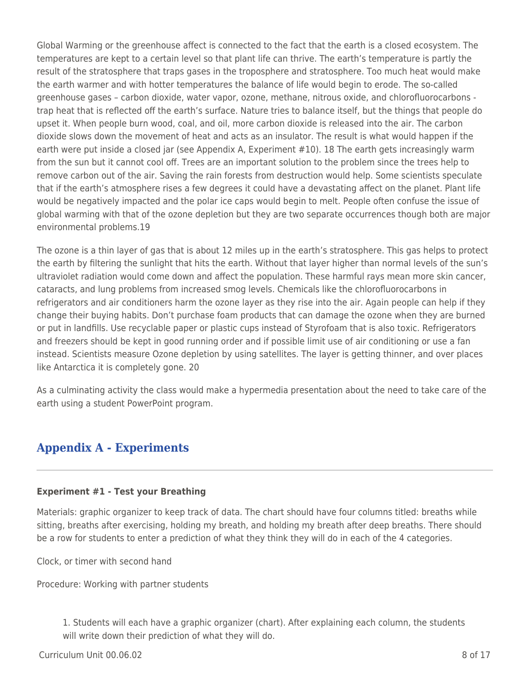Global Warming or the greenhouse affect is connected to the fact that the earth is a closed ecosystem. The temperatures are kept to a certain level so that plant life can thrive. The earth's temperature is partly the result of the stratosphere that traps gases in the troposphere and stratosphere. Too much heat would make the earth warmer and with hotter temperatures the balance of life would begin to erode. The so-called greenhouse gases – carbon dioxide, water vapor, ozone, methane, nitrous oxide, and chlorofluorocarbons trap heat that is reflected off the earth's surface. Nature tries to balance itself, but the things that people do upset it. When people burn wood, coal, and oil, more carbon dioxide is released into the air. The carbon dioxide slows down the movement of heat and acts as an insulator. The result is what would happen if the earth were put inside a closed jar (see Appendix A, Experiment #10). 18 The earth gets increasingly warm from the sun but it cannot cool off. Trees are an important solution to the problem since the trees help to remove carbon out of the air. Saving the rain forests from destruction would help. Some scientists speculate that if the earth's atmosphere rises a few degrees it could have a devastating affect on the planet. Plant life would be negatively impacted and the polar ice caps would begin to melt. People often confuse the issue of global warming with that of the ozone depletion but they are two separate occurrences though both are major environmental problems.19

The ozone is a thin layer of gas that is about 12 miles up in the earth's stratosphere. This gas helps to protect the earth by filtering the sunlight that hits the earth. Without that layer higher than normal levels of the sun's ultraviolet radiation would come down and affect the population. These harmful rays mean more skin cancer, cataracts, and lung problems from increased smog levels. Chemicals like the chlorofluorocarbons in refrigerators and air conditioners harm the ozone layer as they rise into the air. Again people can help if they change their buying habits. Don't purchase foam products that can damage the ozone when they are burned or put in landfills. Use recyclable paper or plastic cups instead of Styrofoam that is also toxic. Refrigerators and freezers should be kept in good running order and if possible limit use of air conditioning or use a fan instead. Scientists measure Ozone depletion by using satellites. The layer is getting thinner, and over places like Antarctica it is completely gone. 20

As a culminating activity the class would make a hypermedia presentation about the need to take care of the earth using a student PowerPoint program.

## **Appendix A - Experiments**

#### **Experiment #1 - Test your Breathing**

Materials: graphic organizer to keep track of data. The chart should have four columns titled: breaths while sitting, breaths after exercising, holding my breath, and holding my breath after deep breaths. There should be a row for students to enter a prediction of what they think they will do in each of the 4 categories.

Clock, or timer with second hand

Procedure: Working with partner students

1. Students will each have a graphic organizer (chart). After explaining each column, the students will write down their prediction of what they will do.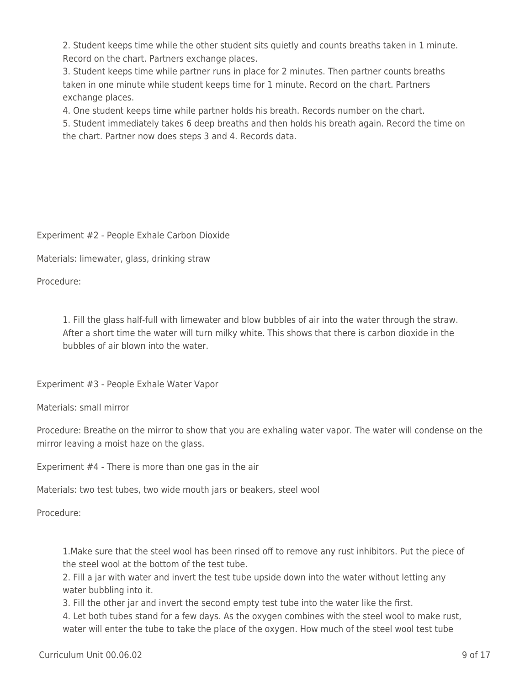2. Student keeps time while the other student sits quietly and counts breaths taken in 1 minute. Record on the chart. Partners exchange places.

3. Student keeps time while partner runs in place for 2 minutes. Then partner counts breaths taken in one minute while student keeps time for 1 minute. Record on the chart. Partners exchange places.

4. One student keeps time while partner holds his breath. Records number on the chart.

5. Student immediately takes 6 deep breaths and then holds his breath again. Record the time on the chart. Partner now does steps 3 and 4. Records data.

Experiment #2 - People Exhale Carbon Dioxide

Materials: limewater, glass, drinking straw

Procedure:

1. Fill the glass half-full with limewater and blow bubbles of air into the water through the straw. After a short time the water will turn milky white. This shows that there is carbon dioxide in the bubbles of air blown into the water.

Experiment #3 - People Exhale Water Vapor

Materials: small mirror

Procedure: Breathe on the mirror to show that you are exhaling water vapor. The water will condense on the mirror leaving a moist haze on the glass.

Experiment #4 - There is more than one gas in the air

Materials: two test tubes, two wide mouth jars or beakers, steel wool

Procedure:

1.Make sure that the steel wool has been rinsed off to remove any rust inhibitors. Put the piece of the steel wool at the bottom of the test tube.

2. Fill a jar with water and invert the test tube upside down into the water without letting any water bubbling into it.

3. Fill the other jar and invert the second empty test tube into the water like the first.

4. Let both tubes stand for a few days. As the oxygen combines with the steel wool to make rust, water will enter the tube to take the place of the oxygen. How much of the steel wool test tube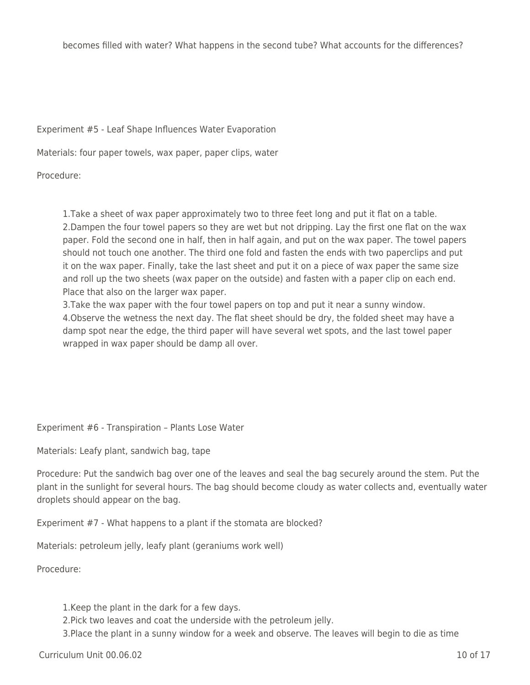Experiment #5 - Leaf Shape Influences Water Evaporation

Materials: four paper towels, wax paper, paper clips, water

Procedure:

1.Take a sheet of wax paper approximately two to three feet long and put it flat on a table. 2.Dampen the four towel papers so they are wet but not dripping. Lay the first one flat on the wax paper. Fold the second one in half, then in half again, and put on the wax paper. The towel papers should not touch one another. The third one fold and fasten the ends with two paperclips and put it on the wax paper. Finally, take the last sheet and put it on a piece of wax paper the same size and roll up the two sheets (wax paper on the outside) and fasten with a paper clip on each end. Place that also on the larger wax paper.

3.Take the wax paper with the four towel papers on top and put it near a sunny window. 4.Observe the wetness the next day. The flat sheet should be dry, the folded sheet may have a damp spot near the edge, the third paper will have several wet spots, and the last towel paper wrapped in wax paper should be damp all over.

Experiment #6 - Transpiration – Plants Lose Water

Materials: Leafy plant, sandwich bag, tape

Procedure: Put the sandwich bag over one of the leaves and seal the bag securely around the stem. Put the plant in the sunlight for several hours. The bag should become cloudy as water collects and, eventually water droplets should appear on the bag.

Experiment #7 - What happens to a plant if the stomata are blocked?

Materials: petroleum jelly, leafy plant (geraniums work well)

Procedure:

1.Keep the plant in the dark for a few days.

2.Pick two leaves and coat the underside with the petroleum jelly.

3.Place the plant in a sunny window for a week and observe. The leaves will begin to die as time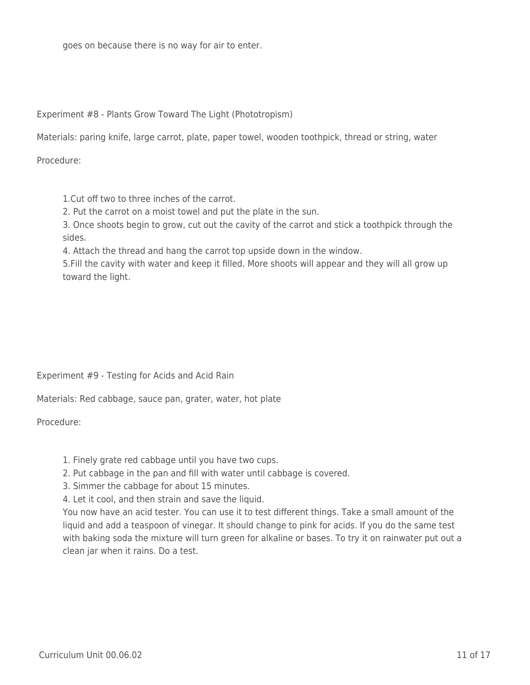goes on because there is no way for air to enter.

Experiment #8 - Plants Grow Toward The Light (Phototropism)

Materials: paring knife, large carrot, plate, paper towel, wooden toothpick, thread or string, water

Procedure:

1.Cut off two to three inches of the carrot.

2. Put the carrot on a moist towel and put the plate in the sun.

3. Once shoots begin to grow, cut out the cavity of the carrot and stick a toothpick through the sides.

4. Attach the thread and hang the carrot top upside down in the window.

5.Fill the cavity with water and keep it filled. More shoots will appear and they will all grow up toward the light.

Experiment #9 - Testing for Acids and Acid Rain

Materials: Red cabbage, sauce pan, grater, water, hot plate

Procedure:

1. Finely grate red cabbage until you have two cups.

- 2. Put cabbage in the pan and fill with water until cabbage is covered.
- 3. Simmer the cabbage for about 15 minutes.

4. Let it cool, and then strain and save the liquid.

You now have an acid tester. You can use it to test different things. Take a small amount of the liquid and add a teaspoon of vinegar. It should change to pink for acids. If you do the same test with baking soda the mixture will turn green for alkaline or bases. To try it on rainwater put out a clean jar when it rains. Do a test.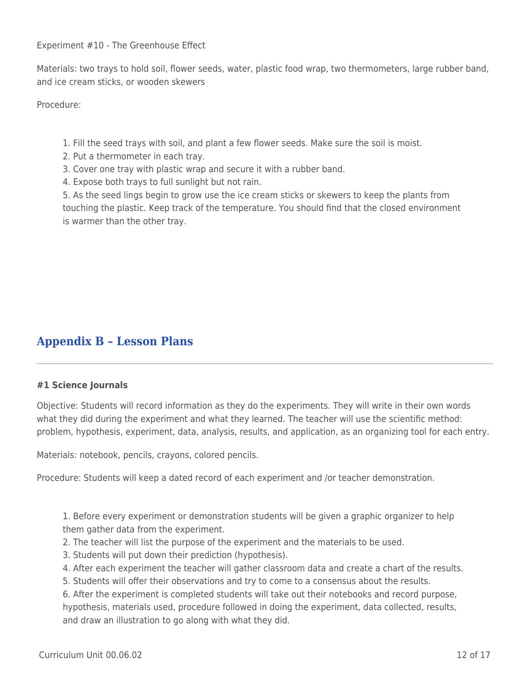Experiment #10 - The Greenhouse Effect

Materials: two trays to hold soil, flower seeds, water, plastic food wrap, two thermometers, large rubber band, and ice cream sticks, or wooden skewers

Procedure:

- 1. Fill the seed trays with soil, and plant a few flower seeds. Make sure the soil is moist.
- 2. Put a thermometer in each tray.
- 3. Cover one tray with plastic wrap and secure it with a rubber band.
- 4. Expose both trays to full sunlight but not rain.

5. As the seed lings begin to grow use the ice cream sticks or skewers to keep the plants from touching the plastic. Keep track of the temperature. You should find that the closed environment is warmer than the other tray.

## **Appendix B – Lesson Plans**

#### **#1 Science Journals**

Objective: Students will record information as they do the experiments. They will write in their own words what they did during the experiment and what they learned. The teacher will use the scientific method: problem, hypothesis, experiment, data, analysis, results, and application, as an organizing tool for each entry.

Materials: notebook, pencils, crayons, colored pencils.

Procedure: Students will keep a dated record of each experiment and /or teacher demonstration.

1. Before every experiment or demonstration students will be given a graphic organizer to help them gather data from the experiment.

- 2. The teacher will list the purpose of the experiment and the materials to be used.
- 3. Students will put down their prediction (hypothesis).
- 4. After each experiment the teacher will gather classroom data and create a chart of the results.
- 5. Students will offer their observations and try to come to a consensus about the results.

6. After the experiment is completed students will take out their notebooks and record purpose, hypothesis, materials used, procedure followed in doing the experiment, data collected, results, and draw an illustration to go along with what they did.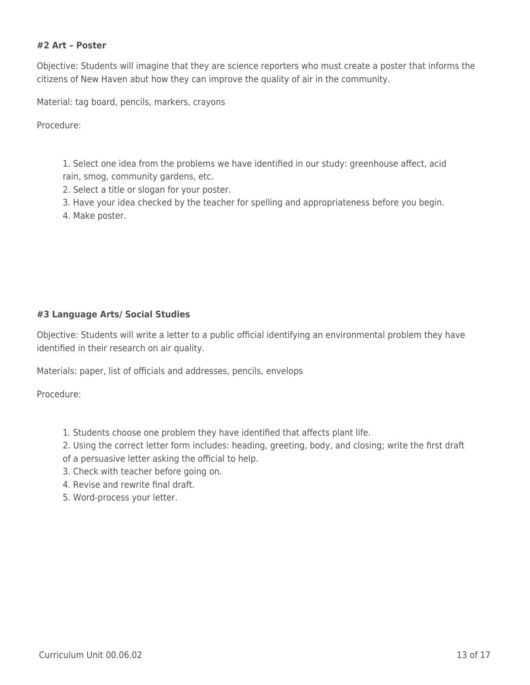#### **#2 Art – Poster**

Objective: Students will imagine that they are science reporters who must create a poster that informs the citizens of New Haven abut how they can improve the quality of air in the community.

Material: tag board, pencils, markers, crayons

Procedure:

1. Select one idea from the problems we have identified in our study: greenhouse affect, acid rain, smog, community gardens, etc.

- 2. Select a title or slogan for your poster.
- 3. Have your idea checked by the teacher for spelling and appropriateness before you begin.
- 4. Make poster.

#### **#3 Language Arts/ Social Studies**

Objective: Students will write a letter to a public official identifying an environmental problem they have identified in their research on air quality.

Materials: paper, list of officials and addresses, pencils, envelops

Procedure:

- 1. Students choose one problem they have identified that affects plant life.
- 2. Using the correct letter form includes: heading, greeting, body, and closing; write the first draft
- of a persuasive letter asking the official to help.
- 3. Check with teacher before going on.
- 4. Revise and rewrite final draft.
- 5. Word-process your letter.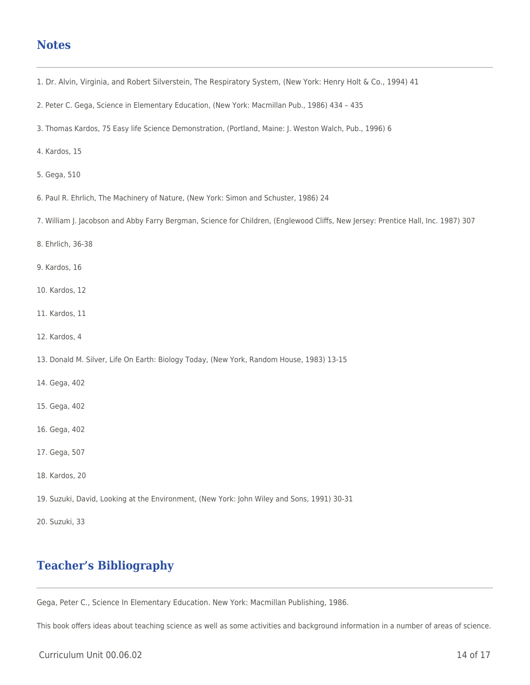### **Notes**

- 1. Dr. Alvin, Virginia, and Robert Silverstein, The Respiratory System, (New York: Henry Holt & Co., 1994) 41
- 2. Peter C. Gega, Science in Elementary Education, (New York: Macmillan Pub., 1986) 434 435
- 3. Thomas Kardos, 75 Easy life Science Demonstration, (Portland, Maine: J. Weston Walch, Pub., 1996) 6
- 4. Kardos, 15
- 5. Gega, 510
- 6. Paul R. Ehrlich, The Machinery of Nature, (New York: Simon and Schuster, 1986) 24
- 7. William J. Jacobson and Abby Farry Bergman, Science for Children, (Englewood Cliffs, New Jersey: Prentice Hall, Inc. 1987) 307
- 8. Ehrlich, 36-38
- 9. Kardos, 16
- 10. Kardos, 12
- 11. Kardos, 11
- 12. Kardos, 4
- 13. Donald M. Silver, Life On Earth: Biology Today, (New York, Random House, 1983) 13-15
- 14. Gega, 402
- 15. Gega, 402
- 16. Gega, 402
- 17. Gega, 507
- 18. Kardos, 20
- 19. Suzuki, David, Looking at the Environment, (New York: John Wiley and Sons, 1991) 30-31
- 20. Suzuki, 33

# **Teacher's Bibliography**

Gega, Peter C., Science In Elementary Education. New York: Macmillan Publishing, 1986.

This book offers ideas about teaching science as well as some activities and background information in a number of areas of science.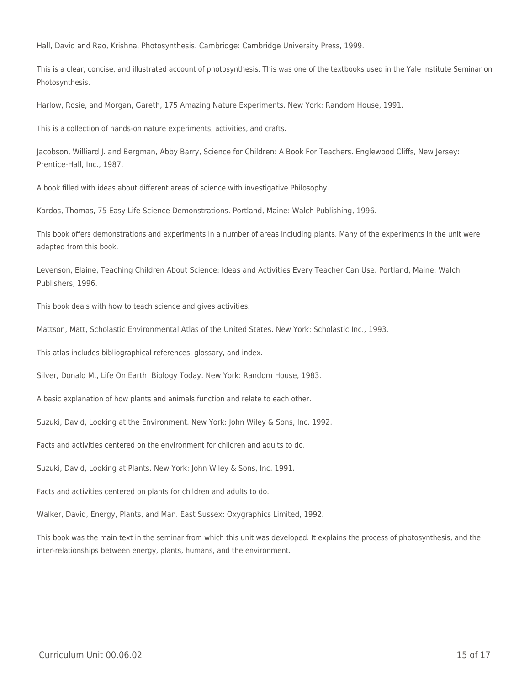Hall, David and Rao, Krishna, Photosynthesis. Cambridge: Cambridge University Press, 1999.

This is a clear, concise, and illustrated account of photosynthesis. This was one of the textbooks used in the Yale Institute Seminar on Photosynthesis.

Harlow, Rosie, and Morgan, Gareth, 175 Amazing Nature Experiments. New York: Random House, 1991.

This is a collection of hands-on nature experiments, activities, and crafts.

Jacobson, Williard J. and Bergman, Abby Barry, Science for Children: A Book For Teachers. Englewood Cliffs, New Jersey: Prentice-Hall, Inc., 1987.

A book filled with ideas about different areas of science with investigative Philosophy.

Kardos, Thomas, 75 Easy Life Science Demonstrations. Portland, Maine: Walch Publishing, 1996.

This book offers demonstrations and experiments in a number of areas including plants. Many of the experiments in the unit were adapted from this book.

Levenson, Elaine, Teaching Children About Science: Ideas and Activities Every Teacher Can Use. Portland, Maine: Walch Publishers, 1996.

This book deals with how to teach science and gives activities.

Mattson, Matt, Scholastic Environmental Atlas of the United States. New York: Scholastic Inc., 1993.

This atlas includes bibliographical references, glossary, and index.

Silver, Donald M., Life On Earth: Biology Today. New York: Random House, 1983.

A basic explanation of how plants and animals function and relate to each other.

Suzuki, David, Looking at the Environment. New York: John Wiley & Sons, Inc. 1992.

Facts and activities centered on the environment for children and adults to do.

Suzuki, David, Looking at Plants. New York: John Wiley & Sons, Inc. 1991.

Facts and activities centered on plants for children and adults to do.

Walker, David, Energy, Plants, and Man. East Sussex: Oxygraphics Limited, 1992.

This book was the main text in the seminar from which this unit was developed. It explains the process of photosynthesis, and the inter-relationships between energy, plants, humans, and the environment.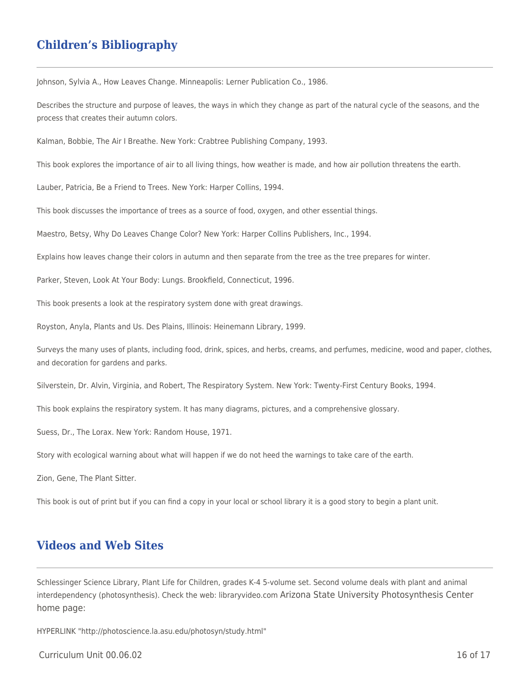## **Children's Bibliography**

Johnson, Sylvia A., How Leaves Change. Minneapolis: Lerner Publication Co., 1986.

Describes the structure and purpose of leaves, the ways in which they change as part of the natural cycle of the seasons, and the process that creates their autumn colors.

Kalman, Bobbie, The Air I Breathe. New York: Crabtree Publishing Company, 1993.

This book explores the importance of air to all living things, how weather is made, and how air pollution threatens the earth.

Lauber, Patricia, Be a Friend to Trees. New York: Harper Collins, 1994.

This book discusses the importance of trees as a source of food, oxygen, and other essential things.

Maestro, Betsy, Why Do Leaves Change Color? New York: Harper Collins Publishers, Inc., 1994.

Explains how leaves change their colors in autumn and then separate from the tree as the tree prepares for winter.

Parker, Steven, Look At Your Body: Lungs. Brookfield, Connecticut, 1996.

This book presents a look at the respiratory system done with great drawings.

Royston, Anyla, Plants and Us. Des Plains, Illinois: Heinemann Library, 1999.

Surveys the many uses of plants, including food, drink, spices, and herbs, creams, and perfumes, medicine, wood and paper, clothes, and decoration for gardens and parks.

Silverstein, Dr. Alvin, Virginia, and Robert, The Respiratory System. New York: Twenty-First Century Books, 1994.

This book explains the respiratory system. It has many diagrams, pictures, and a comprehensive glossary.

Suess, Dr., The Lorax. New York: Random House, 1971.

Story with ecological warning about what will happen if we do not heed the warnings to take care of the earth.

Zion, Gene, The Plant Sitter.

This book is out of print but if you can find a copy in your local or school library it is a good story to begin a plant unit.

### **Videos and Web Sites**

Schlessinger Science Library, Plant Life for Children, grades K-4 5-volume set. Second volume deals with plant and animal interdependency (photosynthesis). Check the web: libraryvideo.com Arizona State University Photosynthesis Center home page:

HYPERLINK "http://photoscience.la.asu.edu/photosyn/study.html"

 $C$ urriculum Unit 00.06.02 16 of 17